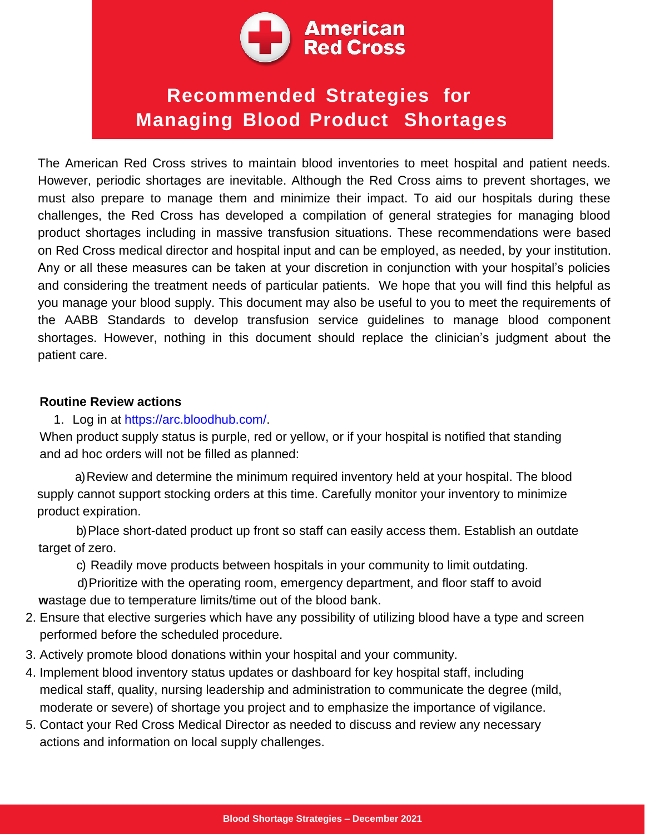

# **Recommended Strategies for Managing Blood Product Shortages**

The American Red Cross strives to maintain blood inventories to meet hospital and patient needs. However, periodic shortages are inevitable. Although the Red Cross aims to prevent shortages, we must also prepare to manage them and minimize their impact. To aid our hospitals during these challenges, the Red Cross has developed a compilation of general strategies for managing blood product shortages including in massive transfusion situations. These recommendations were based on Red Cross medical director and hospital input and can be employed, as needed, by your institution. Any or all these measures can be taken at your discretion in conjunction with your hospital's policies and considering the treatment needs of particular patients. We hope that you will find this helpful as you manage your blood supply. This document may also be useful to you to meet the requirements of the AABB Standards to develop transfusion service guidelines to manage blood component shortages. However, nothing in this document should replace the clinician's judgment about the patient care.

#### **Routine Review actions**

#### 1. Log in at https://arc.bloodhub.com/.

When product supply status is purple, red or yellow, or if your hospital is notified that standing and ad hoc orders will not be filled as planned:

a)Review and determine the minimum required inventory held at your hospital. The blood supply cannot support stocking orders at this time. Carefully monitor your inventory to minimize product expiration.

b)Place short-dated product up front so staff can easily access them. Establish an outdate target of zero.

c) Readily move products between hospitals in your community to limit outdating.

d)Prioritize with the operating room, emergency department, and floor staff to avoid **w**astage due to temperature limits/time out of the blood bank.

- 2. Ensure that elective surgeries which have any possibility of utilizing blood have a type and screen performed before the scheduled procedure.
- 3. Actively promote blood donations within your hospital and your community.
- 4. Implement blood inventory status updates or dashboard for key hospital staff, including medical staff, quality, nursing leadership and administration to communicate the degree (mild, moderate or severe) of shortage you project and to emphasize the importance of vigilance.
- 5. Contact your Red Cross Medical Director as needed to discuss and review any necessary actions and information on local supply challenges.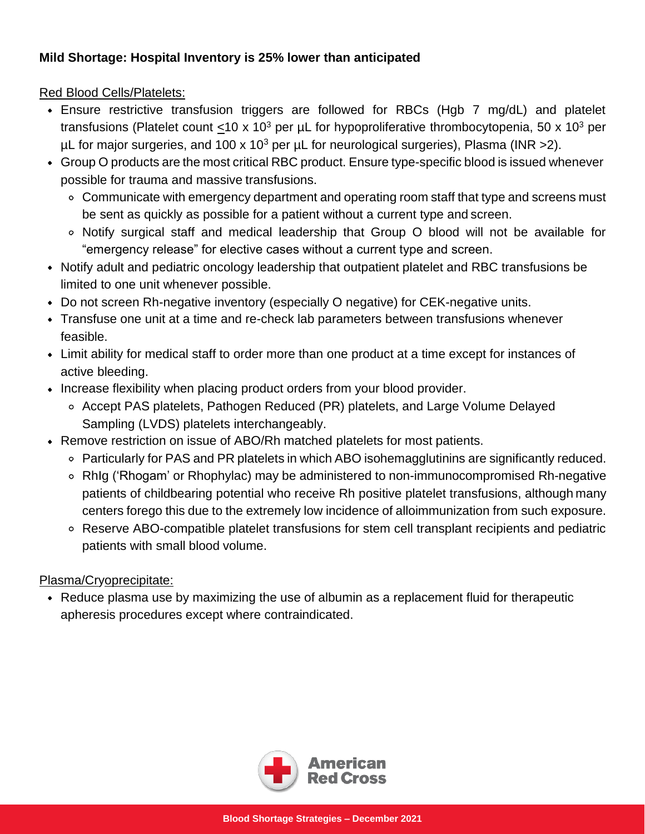# **Mild Shortage: Hospital Inventory is 25% lower than anticipated**

Red Blood Cells/Platelets:

- Ensure restrictive transfusion triggers are followed for RBCs (Hgb 7 mg/dL) and platelet transfusions (Platelet count <10 x 10<sup>3</sup> per  $\mu$ L for hypoproliferative thrombocytopenia, 50 x 10<sup>3</sup> per  $\mu$ L for major surgeries, and 100 x 10<sup>3</sup> per  $\mu$ L for neurological surgeries), Plasma (INR > 2).
- Group O products are the most critical RBC product. Ensure type-specific blood is issued whenever possible for trauma and massive transfusions.
	- Communicate with emergency department and operating room staff that type and screens must be sent as quickly as possible for a patient without a current type and screen.
	- Notify surgical staff and medical leadership that Group O blood will not be available for "emergency release" for elective cases without a current type and screen.
- Notify adult and pediatric oncology leadership that outpatient platelet and RBC transfusions be limited to one unit whenever possible.
- Do not screen Rh-negative inventory (especially O negative) for CEK-negative units.
- Transfuse one unit at a time and re-check lab parameters between transfusions whenever feasible.
- Limit ability for medical staff to order more than one product at a time except for instances of active bleeding.
- Increase flexibility when placing product orders from your blood provider.
	- Accept PAS platelets, Pathogen Reduced (PR) platelets, and Large Volume Delayed Sampling (LVDS) platelets interchangeably.
- Remove restriction on issue of ABO/Rh matched platelets for most patients.
	- Particularly for PAS and PR platelets in which ABO isohemagglutinins are significantly reduced.
	- RhIg ('Rhogam' or Rhophylac) may be administered to non-immunocompromised Rh-negative patients of childbearing potential who receive Rh positive platelet transfusions, although many centers forego this due to the extremely low incidence of alloimmunization from such exposure.
	- Reserve ABO-compatible platelet transfusions for stem cell transplant recipients and pediatric patients with small blood volume.

## Plasma/Cryoprecipitate:

Reduce plasma use by maximizing the use of albumin as a replacement fluid for therapeutic apheresis procedures except where contraindicated.

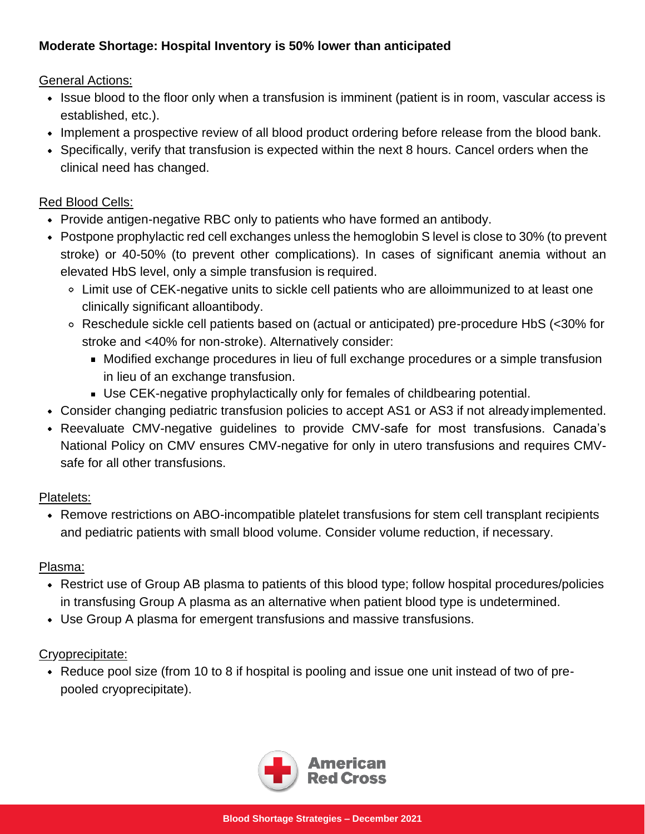# **Moderate Shortage: Hospital Inventory is 50% lower than anticipated**

General Actions:

- Issue blood to the floor only when a transfusion is imminent (patient is in room, vascular access is established, etc.).
- Implement a prospective review of all blood product ordering before release from the blood bank.
- Specifically, verify that transfusion is expected within the next 8 hours. Cancel orders when the clinical need has changed.

# Red Blood Cells:

- Provide antigen-negative RBC only to patients who have formed an antibody.
- Postpone prophylactic red cell exchanges unless the hemoglobin S level is close to 30% (to prevent stroke) or 40-50% (to prevent other complications). In cases of significant anemia without an elevated HbS level, only a simple transfusion is required.
	- Limit use of CEK-negative units to sickle cell patients who are alloimmunized to at least one clinically significant alloantibody.
	- Reschedule sickle cell patients based on (actual or anticipated) pre-procedure HbS (<30% for stroke and <40% for non-stroke). Alternatively consider:
		- Modified exchange procedures in lieu of full exchange procedures or a simple transfusion in lieu of an exchange transfusion.
		- Use CEK-negative prophylactically only for females of childbearing potential.
- Consider changing pediatric transfusion policies to accept AS1 or AS3 if not alreadyimplemented.
- Reevaluate CMV-negative guidelines to provide CMV-safe for most transfusions. Canada's National Policy on CMV ensures CMV-negative for only in utero transfusions and requires CMVsafe for all other transfusions.

# Platelets:

Remove restrictions on ABO-incompatible platelet transfusions for stem cell transplant recipients and pediatric patients with small blood volume. Consider volume reduction, if necessary.

## Plasma:

- Restrict use of Group AB plasma to patients of this blood type; follow hospital procedures/policies in transfusing Group A plasma as an alternative when patient blood type is undetermined.
- Use Group A plasma for emergent transfusions and massive transfusions.

# Cryoprecipitate:

Reduce pool size (from 10 to 8 if hospital is pooling and issue one unit instead of two of prepooled cryoprecipitate).

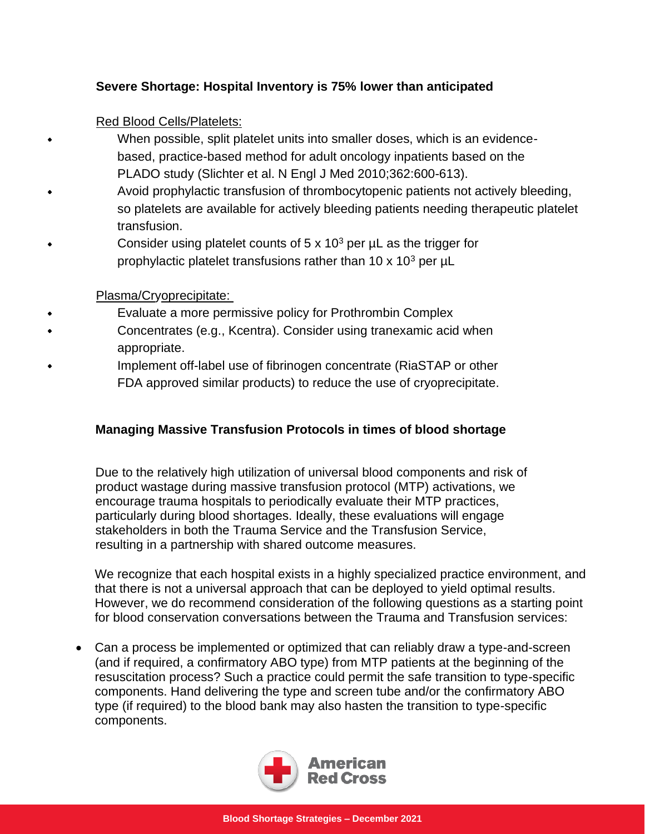## **Severe Shortage: Hospital Inventory is 75% lower than anticipated**

Red Blood Cells/Platelets:

- When possible, split platelet units into smaller doses, which is an evidencebased, practice-based method for adult oncology inpatients based on the PLADO study (Slichter et al. N Engl J Med 2010;362:600-613).
- Avoid prophylactic transfusion of thrombocytopenic patients not actively bleeding, so platelets are available for actively bleeding patients needing therapeutic platelet transfusion.
- Consider using platelet counts of  $5 \times 10^3$  per  $\mu$ L as the trigger for prophylactic platelet transfusions rather than 10  $\times$  10<sup>3</sup> per  $\mu$ L

## Plasma/Cryoprecipitate:

- Evaluate a more permissive policy for Prothrombin Complex Concentrates (e.g., Kcentra). Consider using tranexamic acid when appropriate.
- Implement off-label use of fibrinogen concentrate (RiaSTAP or other FDA approved similar products) to reduce the use of cryoprecipitate.

## **Managing Massive Transfusion Protocols in times of blood shortage**

Due to the relatively high utilization of universal blood components and risk of product wastage during massive transfusion protocol (MTP) activations, we encourage trauma hospitals to periodically evaluate their MTP practices, particularly during blood shortages. Ideally, these evaluations will engage stakeholders in both the Trauma Service and the Transfusion Service, resulting in a partnership with shared outcome measures.

We recognize that each hospital exists in a highly specialized practice environment, and that there is not a universal approach that can be deployed to yield optimal results. However, we do recommend consideration of the following questions as a starting point for blood conservation conversations between the Trauma and Transfusion services:

• Can a process be implemented or optimized that can reliably draw a type-and-screen (and if required, a confirmatory ABO type) from MTP patients at the beginning of the resuscitation process? Such a practice could permit the safe transition to type-specific components. Hand delivering the type and screen tube and/or the confirmatory ABO type (if required) to the blood bank may also hasten the transition to type-specific components.